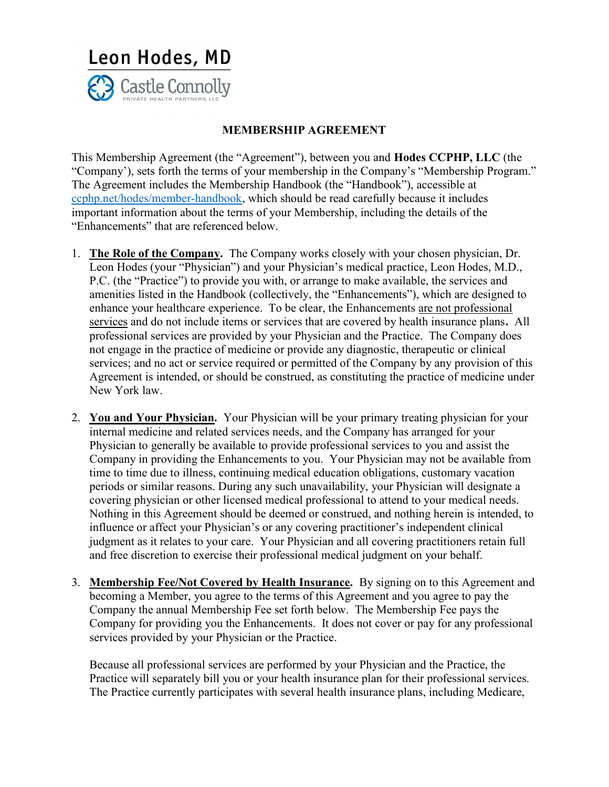

## MEMBERSHIP AGREEMENT

This Membership Agreement (the "Agreement"), between you and Hodes CCPHP, LLC (the "Company'), sets forth the terms of your membership in the Company's "Membership Program." The Agreement includes the Membership Handbook (the "Handbook"), accessible at ccphp.net/hodes/member-handbook, which should be read carefully because it includes important information about the terms of your Membership, including the details of the "Enhancements" that are referenced below.

- 1. The Role of the Company. The Company works closely with your chosen physician, Dr. Leon Hodes (your "Physician") and your Physician's medical practice, Leon Hodes, M.D., P.C. (the "Practice") to provide you with, or arrange to make available, the services and amenities listed in the Handbook (collectively, the "Enhancements"), which are designed to enhance your healthcare experience. To be clear, the Enhancements are not professional services and do not include items or services that are covered by health insurance plans. All professional services are provided by your Physician and the Practice. The Company does not engage in the practice of medicine or provide any diagnostic, therapeutic or clinical services; and no act or service required or permitted of the Company by any provision of this Agreement is intended, or should be construed, as constituting the practice of medicine under New York law.
- 2. You and Your Physician. Your Physician will be your primary treating physician for your internal medicine and related services needs, and the Company has arranged for your Physician to generally be available to provide professional services to you and assist the Company in providing the Enhancements to you. Your Physician may not be available from time to time due to illness, continuing medical education obligations, customary vacation periods or similar reasons. During any such unavailability, your Physician will designate a covering physician or other licensed medical professional to attend to your medical needs. Nothing in this Agreement should be deemed or construed, and nothing herein is intended, to influence or affect your Physician's or any covering practitioner's independent clinical judgment as it relates to your care. Your Physician and all covering practitioners retain full and free discretion to exercise their professional medical judgment on your behalf.
- 3. Membership Fee/Not Covered by Health Insurance. By signing on to this Agreement and becoming a Member, you agree to the terms of this Agreement and you agree to pay the Company the annual Membership Fee set forth below. The Membership Fee pays the Company for providing you the Enhancements. It does not cover or pay for any professional services provided by your Physician or the Practice.

Because all professional services are performed by your Physician and the Practice, the Practice will separately bill you or your health insurance plan for their professional services. The Practice currently participates with several health insurance plans, including Medicare,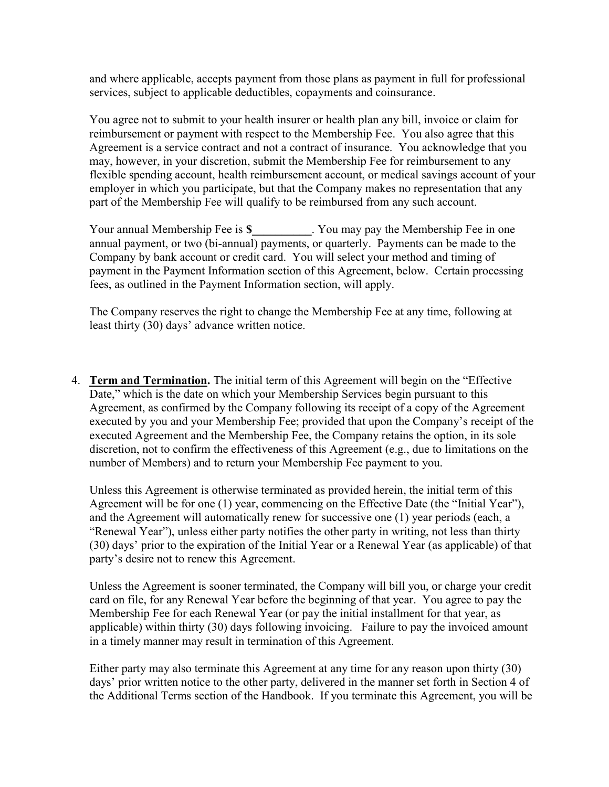and where applicable, accepts payment from those plans as payment in full for professional services, subject to applicable deductibles, copayments and coinsurance.

You agree not to submit to your health insurer or health plan any bill, invoice or claim for reimbursement or payment with respect to the Membership Fee. You also agree that this Agreement is a service contract and not a contract of insurance. You acknowledge that you may, however, in your discretion, submit the Membership Fee for reimbursement to any flexible spending account, health reimbursement account, or medical savings account of your employer in which you participate, but that the Company makes no representation that any part of the Membership Fee will qualify to be reimbursed from any such account.

Your annual Membership Fee is \$ Tou may pay the Membership Fee in one annual payment, or two (bi-annual) payments, or quarterly. Payments can be made to the Company by bank account or credit card. You will select your method and timing of payment in the Payment Information section of this Agreement, below. Certain processing fees, as outlined in the Payment Information section, will apply.

The Company reserves the right to change the Membership Fee at any time, following at least thirty (30) days' advance written notice.

4. Term and Termination. The initial term of this Agreement will begin on the "Effective Date," which is the date on which your Membership Services begin pursuant to this Agreement, as confirmed by the Company following its receipt of a copy of the Agreement executed by you and your Membership Fee; provided that upon the Company's receipt of the executed Agreement and the Membership Fee, the Company retains the option, in its sole discretion, not to confirm the effectiveness of this Agreement (e.g., due to limitations on the number of Members) and to return your Membership Fee payment to you.

Unless this Agreement is otherwise terminated as provided herein, the initial term of this Agreement will be for one (1) year, commencing on the Effective Date (the "Initial Year"), and the Agreement will automatically renew for successive one (1) year periods (each, a "Renewal Year"), unless either party notifies the other party in writing, not less than thirty (30) days' prior to the expiration of the Initial Year or a Renewal Year (as applicable) of that party's desire not to renew this Agreement.

Unless the Agreement is sooner terminated, the Company will bill you, or charge your credit card on file, for any Renewal Year before the beginning of that year. You agree to pay the Membership Fee for each Renewal Year (or pay the initial installment for that year, as applicable) within thirty (30) days following invoicing. Failure to pay the invoiced amount in a timely manner may result in termination of this Agreement.

Either party may also terminate this Agreement at any time for any reason upon thirty (30) days' prior written notice to the other party, delivered in the manner set forth in Section 4 of the Additional Terms section of the Handbook. If you terminate this Agreement, you will be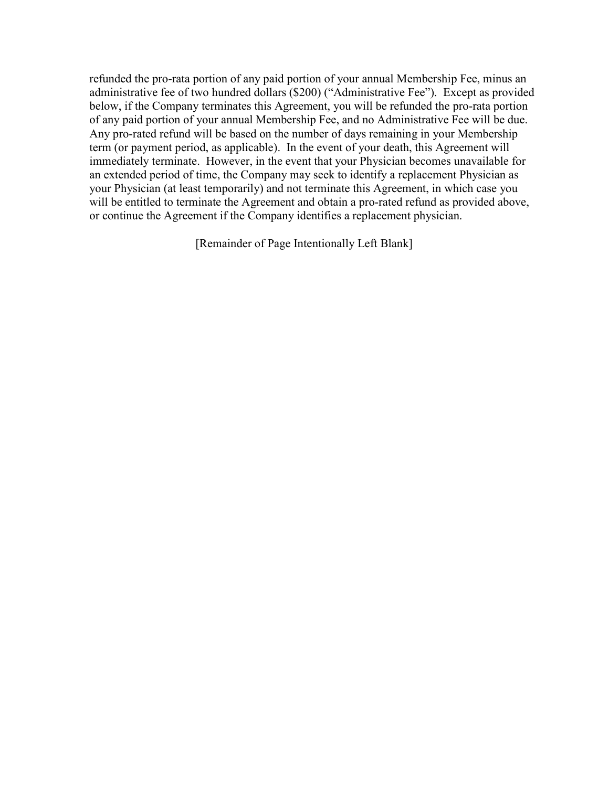refunded the pro-rata portion of any paid portion of your annual Membership Fee, minus an administrative fee of two hundred dollars (\$200) ("Administrative Fee"). Except as provided below, if the Company terminates this Agreement, you will be refunded the pro-rata portion of any paid portion of your annual Membership Fee, and no Administrative Fee will be due. Any pro-rated refund will be based on the number of days remaining in your Membership term (or payment period, as applicable). In the event of your death, this Agreement will immediately terminate. However, in the event that your Physician becomes unavailable for an extended period of time, the Company may seek to identify a replacement Physician as your Physician (at least temporarily) and not terminate this Agreement, in which case you will be entitled to terminate the Agreement and obtain a pro-rated refund as provided above, or continue the Agreement if the Company identifies a replacement physician.

[Remainder of Page Intentionally Left Blank]